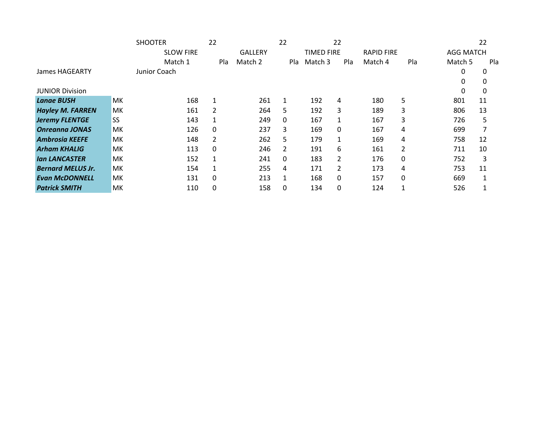|                          |           | <b>SHOOTER</b>   | 22           |                | 22  |                   | 22       |                   |              |                  | 22  |
|--------------------------|-----------|------------------|--------------|----------------|-----|-------------------|----------|-------------------|--------------|------------------|-----|
|                          |           | <b>SLOW FIRE</b> |              | <b>GALLERY</b> |     | <b>TIMED FIRE</b> |          | <b>RAPID FIRE</b> |              | <b>AGG MATCH</b> |     |
|                          |           | Match 1          | Pla          | Match 2        | Pla | Match 3           | Pla      | Match 4           | Pla          | Match 5          | Pla |
| James HAGEARTY           |           | Junior Coach     |              |                |     |                   |          |                   |              | 0                | 0   |
|                          |           |                  |              |                |     |                   |          |                   |              |                  | 0   |
| <b>JUNIOR Division</b>   |           |                  |              |                |     |                   |          |                   |              |                  | 0   |
| <b>Lange BUSH</b>        | МK        | 168              | 1            | 261            | 1   | 192               | 4        | 180               | 5.           | 801              | 11  |
| <b>Hayley M. FARREN</b>  | МK        | 161              | 2            | 264            | 5   | 192               | 3        | 189               | 3            | 806              | 13  |
| <b>Jeremy FLENTGE</b>    | <b>SS</b> | 143              | 1            | 249            | 0   | 167               |          | 167               | 3            | 726              | 5   |
| <b>Onreanna JONAS</b>    | МK        | 126              | $\mathbf{0}$ | 237            | 3   | 169               | 0        | 167               | 4            | 699              | 7   |
| <b>Ambrosia KEEFE</b>    | МK        | 148              | 2            | 262            | 5   | 179               |          | 169               | 4            | 758              | 12  |
| <b>Arham KHALIG</b>      | МK        | 113              | $\mathbf{0}$ | 246            | 2   | 191               | 6        | 161               | 2            | 711              | 10  |
| <b>Ian LANCASTER</b>     | МK        | 152              | 1            | 241            | 0   | 183               | 2        | 176               | $\mathbf{0}$ | 752              | 3   |
| <b>Bernard MELUS Jr.</b> | МK        | 154              |              | 255            | 4   | 171               | 2        | 173               | 4            | 753              | 11  |
| <b>Evan McDONNELL</b>    | МK        | 131              | $\mathbf{0}$ | 213            | 1   | 168               | $\Omega$ | 157               | $\Omega$     | 669              | 1   |
| <b>Patrick SMITH</b>     | MK        | 110              | $\Omega$     | 158            | 0   | 134               | 0        | 124               |              | 526              |     |